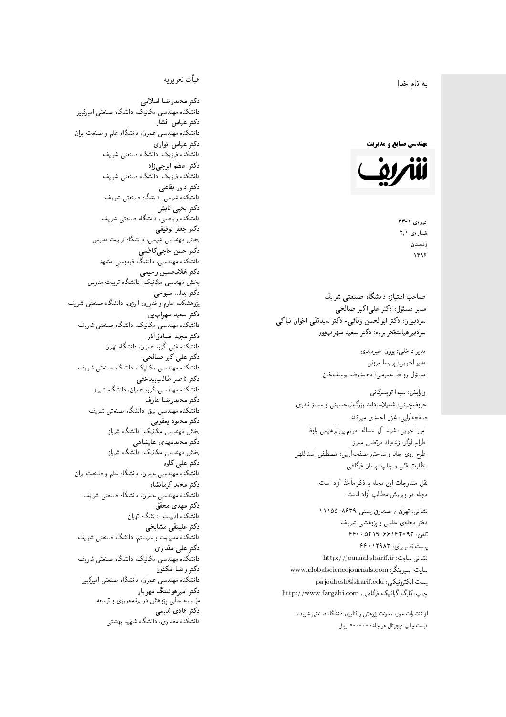$\overline{\phantom{a}}$ ز<br>ن به نام خدا .<br>.

**مهندسی صنایع و مدیریت** 



دورەي ١- ٣٣ شمارەي ۲٫۱ زمستان 1396

مدیر مسئول: دکتر علیاکبر صالحی  $\mathfrak{c}$ سردبیران: دکتر ابوالحسن وفائی- دکتر سیدتقی اخوان نیاکی سردېيرهياتټحر ير يه: دکتر سعيد سهرابپور

> مدير داخلى: پوران خيرمندى<br>ا مدير اجرايي: پريسا مروتي<br>. مسئول روابط عمومی: محمدرضا یوسفخان<br>.

ويرايش: سيما تويسركان<sub>ى</sub><br>م امور اجرایی: شیما آل اسداله، مریم پورابراهیمی باوفا طراح لوگو: زندهیاد مرتضمی ممیز<br>ا طرح روی جلد و ساختار صفحهآرایی: مصطفی اسداللهی<br>مطلب منتقل نظارت فٽ<sub>ی</sub> و چاپ: پيمان فرگاه<sub>ی</sub><br>. حروفچینی: شمیلاسادات بزرگنیاحسینی و ساناز نادری صفحهآرايي: غزل احمدي ميرقائد

نقل مندرجات این مجله با ذکر مأخذ آزاد است.<br>مجله در ویرایش مطالب آزاد است.

نشانی: تهران / ۸۶۳۹–۱۱۱۵۵ دفتر مجلهى علمى و پژوهشى شريف 56000194196969 + 196000 ست تصویری: ۱۲۹۸۳ ۶۶۰ نشانی سایت: http://journal.sharif.ir<br>ء سایت اسپرینگر: www.globalsciencejournals.com<br>افکار کافی کے مطابق کافیل کے مطابق کافیل کے مطابق کافیل کے مطابق کافیل کرنا pajouhesh@sharif.edu :يست الكترونيكي http://www.fargahi.com ،ياب: كارگاه گرافيک فرگاهي صاحب امتياز: دانشگاه صنعتي شريف<br>مدري مسئول: دكتر على اكبر صالحي<br>سردبيران: دكتر ابوالحسن وفاقي- دكتر سر<br>سردبيران: دكتر ابوالحسن وفاقي- دكتر سر<br>سردبيران: دكتر ابوالحسن وفاقي- دكتر سعيد<br>مدير اجرايي: پريسا مروتي<br>ميزان براي اب

از انتشارات حوزه معاونت پژوهش و فناوری دانشگاه صنعتی شریف<br>قیمت جاب دیجیتال هر جلد: ۷۰۰۰۰۰ ریال

# هيأت تحريريه

دكتر محمدرضا اسلامى مکانیک، دانشگاه صنعتی امیرکبیر<br>. دكتر عباس افشار دانشکده مهندسی عمران، دانشگاه علم و صنعت ایران<br>بحمد مصلحات دكتر عباس انوارى دانشکده فیزیک، دانشگاه صنعتبی شریف<br>محمد استانسا دکتر اعظم ايرج<mark>ي</mark> زاد ، دانشگاه صنعتبی شریف<br>. دکتر داور بقاع**ی** دانشکده شیمی، دانشگاه صنعتی شریف<br>دکتر یحیی تابش دانشکده ریاضی، دانشگاه صنعتی شریف<br>برمسمنستانستان دكتر جعفر توفيقي بخش مهندسی شیمی، دانشگاه تربیت مدرس<br>سم دكتر حسن حاجىكاظمي دانشکده مهندسی، دانشگاه فردوسی مشهد<br>کترخان دكتر غلامحسين رحيمي هندسی مکانیک، دانشگاه تربیت مدرس<br>ا دکتر یدا... سبوحی یژوهشکده علوم و فناوری انرژی، دانشگاه صنعتی شریف دکتر سعید سهرابپور<br>دانشکده مهندسی مکانیک، دانشگاه صنعتی شریف دکتر مجيد صادقاذر ا<br>. دانشکده فنی، گروه عمران، دانشگاه تهران دکتر علیاکبر صالحی = دانشکده مهندسی مکانیک، دانشگاه صنعتی شریف<br>یکستا دکتر ناصر طالب بیدختی r  $\mathfrak{c}$ دانشکده مهندسی، گروه عمران، دانشگاه شیراز<br>مکتب مصدر مقبل علم دكتر محمدرضا عارف دانشکده مهندسی برق، دانشگاه صنعتی شریف<br><mark>دکتر محمود یعقوبی</mark> هندسی مکانیک، دانشگاه شیراز<br>مسدوده مصلوفیاه دکتر محمدمهدی علیشاهی بخش مهندسی مکانیک، دانشگاه شیراز<br>مکتبهای کابی دکتر علی کاوہ دانشکده مهندسی عمران، دانشگاه علم و صنعت ایران<br>بحت دکتر محمد کرمانشاه .<br>. دانشکده مهندسی عمران، دانشگاه صنعتی شریف<br>مکتبر دولت مستق دکتر مهد*ی* محقق دانشکده ادبیات، دانشگاه تهران دکتر علینقی مشایخ<u>ی</u> دانشکده مدیریت و سیستم، دانشگاه صنعتبی شریف<br>محمد باست دکتر علی مقداری دانشکده مهندسی مکانیک، دانشگاه صنعتی شریف<br><mark>دکتر رضا مکنون</mark> دانشکده مهندسی عمران. دانشگاه صنعتی امیرکبیر<br>محمد است میگ دکتر امیرهوشنگ مهریار سسه عالمی پژوهش در برنامهریزی و توسعه<br>''' ۱۰۰۰ میلید ءُ<br>ك م<br>. دکتر هادی ندیمی  $\overline{a}$ م تشكل المسابق التي تتوقف المسابق المسابق المسابق المسابق المسابق المسابق المسابق المسابق المسابق المسابق المس<br>المسابق المسابق المسابق المسابق المسابق المسابق المسابق المسابق المسابق المسابق المسابق المسابق المسابق المساب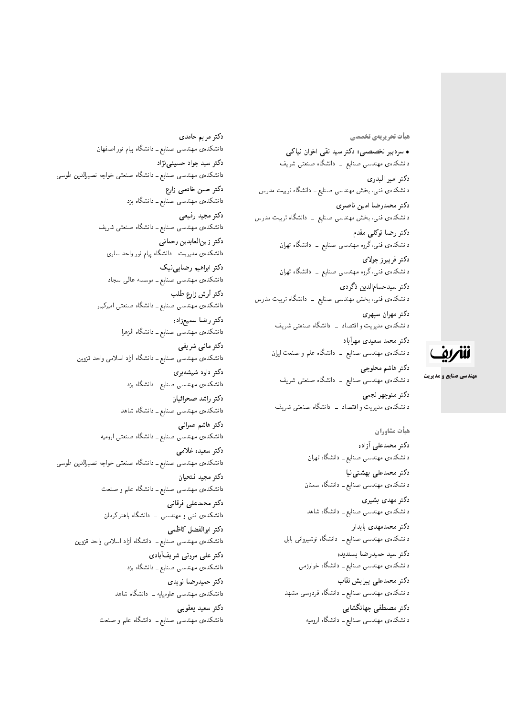#### **هیات تحریریهی تخصصی**

• سردبیر تخصصی: دکتر سید تقی اخوان نیاکی دانشکدهی مهندسی صنایع ــ دانشگاه صنعتی شریف دكتر امير البدوي دانشکده<mark>ی فنبی، بخش مهندسی صنایع ـ دانشگاه تربیت م</mark>درس دكتر محمدرضا امين ناصري دانشکدهی فنبی، بخش مهندسی صنایع – دانشگاه تربیت مدرس دکتر رضا توکلی مقدم دانشکدهی فنبی،گروه مهندسی صنایع <mark>– دانشگاه تهران</mark>

دكتر فريبرز جولاي دانشکده،ی فنی،گروه مهندسی صنایع \_ دانشگاه تهران دكتر سيدحسامالدين ذگردي

دانشکدهی فنبی، بخش مهندسی صنایع ــ دانشگاه تربیت مدرس

دكتر مهران سپهري دانشکدهی مدیریت و اقتصاد \_ دانشگاه صنعتبی شریف

دکتر محمد سعیدی مهرآباد دانشکدهی مهندسی صنایع ــ دانشگاه علم و صنعت ایران

دكتر هاشم محلوجي دانشکدهی مهندسی صنایع ــ دانشگاه صنعتی شریف

دكتر منوچهر نجمي دانشکدهی مدیریت و اقتصاد \_ دانشگاه صنعتبی شریف

> هيأت مشاوران دكتر محمدعلى أزاده دانشکدهی مهندسی صنایع ــ دانشگاه تهران

دكتر محمدعلى بهشتى نيا دانشکدهی مهندسی صنایع ــ دانشگاه سمنان

دكتر مهدى بشيرى دانشکدهی مهندسی صنایع ــ دانشگاه شاهد

دکتر محمدمهدی بایدار دانشکدهی مهندسی صنایع ــ دانشگاه نوشیروانی بابل

دكتر سيد حميدرضا پسنديده دانشکده،ی مهندسی صنایع ــ دانشگاه خوارزمی دكتر محمدعلى پيرايش نقاب

دانشکده،ی مهندسی صنایع ــ دانشگاه فردوسی مشهد

دکتر مصطفى جهانگشايي دانشکدهی مهندسی صنایع ــ دانشگاه ارومیه

دكتر مريم حامدى دانشکدهی مهندسی صنایع ــ دانشگاه پیام نور اصفهان دکتر سید جواد حسینی نژاد دانشکدهی مهندسی صنایع ـ دانشگاه صنعتی خواجه نصیرالدین طوسی دکتر حسن خادمی زارع دانشکدهی مهندسی صنایع ــ دانشگاه یزد دكتر مجيد رفيعي دانشکدهی مهندسی صنایع ــ دانشگاه صنعتی شریف دكتر زين|لعابدين رحماني دانشکدهی مدیریت ــ دانشگاه پیام نور واحد ساری دکتر ابراهیم رضایی نیک دانشکدهی مهندسی صنایع ــ موسسه عالمی سجاد دكتر أرش زارع طلب دانشکدهی مهندسی صنایع ــ دانشگاه صنعتی امیرکبیر دكتر رضا سميعزاده دانشکدهی مهندسی صنایع ــ دانشگاه الزهرا دكتر مانى شريفى دانشکدهی مهندسی صنایع ــ دانشگاه آزاد اسلامی واحد قزوین دکتر داود شیشهبری دانشکده، مهندسی صنایع ــ دانشگاه یزد دكتر راشد صحرائيان دانشکدهی مهندسی صنایع ــ دانشگاه شاهد دكتر هاشم عمراني دانشکدهی مهندسی صنایع ــ دانشگاه صنعتی ارومیه دكتر سعيده غلامى دانشکده ی مهندسی صنایع ـ دانشگاه صنعتی خواجه نصیرالدین طوسی دكتر مجيد فتحيان دانشکدهی مهندسی صنایع ــ دانشگاه علم و صنعت دكتر محمدعلى فرقاني دانشکدهی فنی و مهندسی \_ دانشگاه باهنر کرمان دكتر ابوالفضل كاظمى دانشکدهی مهندسی صنایع ــ دانشگاه آزاد اسلامی واحد قزوین دکتر علمی مروتبی شریفآبادی دانشکدهی مهندسی صنایع ــ دانشگاه یزد دكتر حميدرضا نويدي دانشکدهی مهندسی علومپایه ــ دانشگاه شاهد دكتر سعيد يعقوبي دانشکدهی مهندسی صنایع ــ دانشگاه علم و صنعت

للمريف

**مهندسی صنایع و مدیریت**